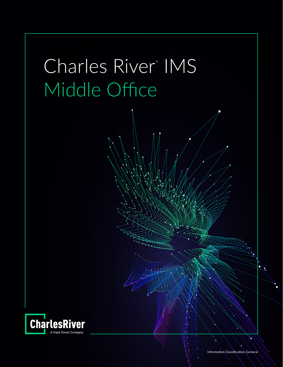

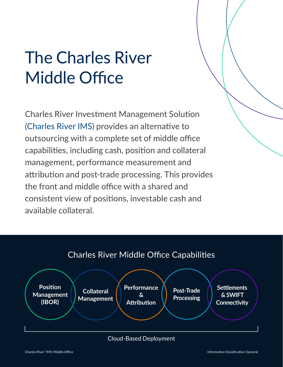# The Charles River Middle Office

Charles River Investment Management Solution ([Charles River IMS](https://www.crd.com/solutions/charles-river-ims/)) provides an alternative to outsourcing with a complete set of middle office capabilities, including cash, position and collateral management, performance measurement and attribution and post-trade processing. This provides the front and middle office with a shared and consistent view of positions, investable cash and available collateral.





#### [Cloud-Based Deployment](https://www.crd.com/services/cloud)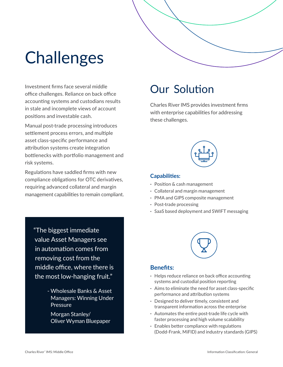

Investment firms face several middle office challenges. Reliance on back office accounting systems and custodians results in stale and incomplete views of account positions and investable cash.

Manual post-trade processing introduces settlement process errors, and multiple asset class-specific performance and attribution systems create integration bottlenecks with portfolio management and risk systems.

Regulations have saddled firms with new compliance obligations for OTC derivatives, requiring advanced collateral and margin management capabilities to remain compliant.

"The biggest immediate value Asset Managers see in automation comes from removing cost from the [middle office, where there is](https://www.oliverwyman.com/content/dam/oliver-wyman/v2/publications/2018/march/Wholesale-Banks-Asset-Managers-Winning-Under-Pressure-2018.pdf)  the most low-hanging fruit."

> - Wholesale Banks & Asset Managers: Winning Under Pressure

Morgan Stanley/ Oliver Wyman Bluepaper

### Our Solution

Charles River IMS provides investment firms with enterprise capabilities for addressing these challenges.



#### **Capabilities:**

- **·** Position & cash management
- **·** Collateral and margin management
- **·** PMA and GIPS composite management
- **·** Post-trade processing
- **·** SaaS based deployment and SWIFT messaging



#### **Benefits:**

- **·** Helps reduce reliance on back office accounting systems and custodial position reporting
- **·** Aims to eliminate the need for asset class-specific performance and attribution systems
- **·** Designed to deliver timely, consistent and transparent information across the enterprise
- **·** Automates the entire post-trade life cycle with faster processing and high volume scalability
- **·** Enables better compliance with regulations (Dodd-Frank, MiFID) and industry standards (GIPS)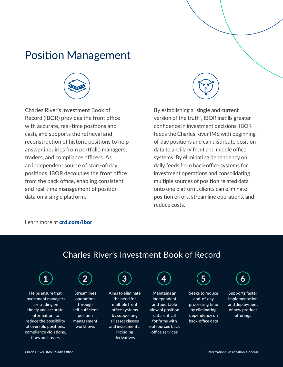### [Position Management](https://www.crd.com/solutions/charles-river-ibor/)



Charles River's Investment Book of Record (IBOR) provides the front office with accurate, real-time positions and cash, and supports the retrieval and reconstruction of historic positions to help answer inquiries from portfolio managers, traders, and compliance officers. As an independent source of start-of-day positions, IBOR decouples the front office from the back office, enabling consistent and real-time management of position data on a single platform.



By establishing a "single and current version of the truth", IBOR instills greater confidence in investment decisions. IBOR feeds the Charles River IMS with beginningof-day positions and can distribute position data to ancillary front and middle office systems. By eliminating dependency on daily feeds from back-office systems for investment operations and consolidating multiple sources of position related data onto one platform, clients can eliminate position errors, streamline operations, and reduce costs.

#### Learn more at **[crd.com/ibor](https://www.crd.com/solutions/charles-river-ibor/)**

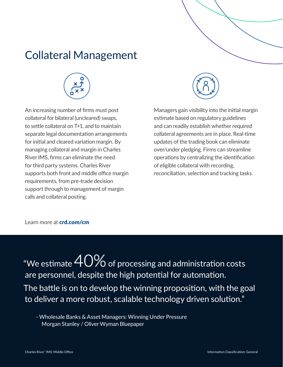## [Collateral Management](https://www.crd.com/solutions/collateral-management/)



An increasing number of firms must post collateral for bilateral (uncleared) swaps, to settle collateral on T+1, and to maintain separate legal documentation arrangements for initial and cleared variation margin. By managing collateral and margin in Charles River IMS, firms can eliminate the need for third party systems. Charles River supports both front and middle office margin requirements, from pre-trade decision support through to management of margin calls and collateral posting.



Managers gain visibility into the initial margin estimate based on regulatory guidelines and can readily establish whether required collateral agreements are in place. Real-time updates of the trading book can eliminate over/under pledging. Firms can streamline operations by centralizing the identification of eligible collateral with recording, reconciliation, selection and tracking tasks.

Learn more at **[crd.com/cm](https://www.crd.com/solutions/collateral-management/)** 

"We estimate  $40\%$  of processing and administration costs are personnel, despite the high potential for automation. [The battle is on to develop the winning proposition, with the goal](https://www.oliverwyman.com/content/dam/oliver-wyman/v2/publications/2018/march/Wholesale-Banks-Asset-Managers-Winning-Under-Pressure-2018.pdf)  to deliver a more robust, scalable technology driven solution."

- Wholesale Banks & Asset Managers: Winning Under Pressure Morgan Stanley / Oliver Wyman Bluepaper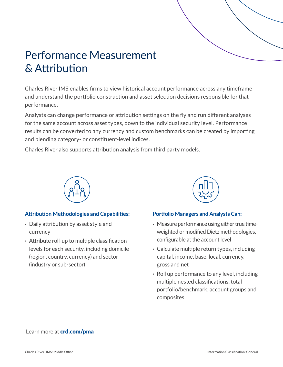# [Performance Measurement](https://www.crd.com/solutions/charles-river-performance/)  & Attribution

Charles River IMS enables firms to view historical account performance across any timeframe and understand the portfolio construction and asset selection decisions responsible for that performance.

Analysts can change performance or attribution settings on the fly and run different analyses for the same account across asset types, down to the individual security level. Performance results can be converted to any currency and custom benchmarks can be created by importing and blending category- or constituent-level indices.

Charles River also supports attribution analysis from third party models.



#### **Attribution Methodologies and Capabilities:**

- **·** Daily attribution by asset style and currency
- **·** Attribute roll-up to multiple classification levels for each security, including domicile (region, country, currency) and sector (industry or sub-sector)



#### **Portfolio Managers and Analysts Can:**

- **·** Measure performance using either true timeweighted or modified Dietz methodologies, configurable at the account level
- **·** Calculate multiple return types, including capital, income, base, local, currency, gross and net
- **·** Roll up performance to any level, including multiple nested classifications, total portfolio/benchmark, account groups and composites

#### Learn more at **[crd.com/pma](https://www.crd.com/solutions/charles-river-performance/)**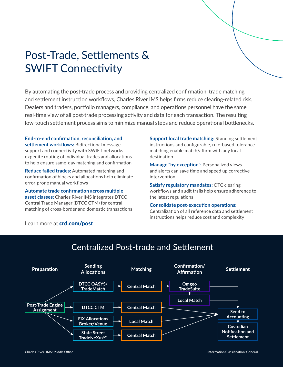# [Post-Trade, Settlements &](https://www.crd.com/solutions/post-trade-processing-settlement/)  SWIFT Connectivity

By automating the post-trade process and providing centralized confirmation, trade matching and settlement instruction workflows, Charles River IMS helps firms reduce clearing-related risk. Dealers and traders, portfolio managers, compliance, and operations personnel have the same real-time view of all post-trade processing activity and data for each transaction. The resulting low-touch settlement process aims to minimize manual steps and reduce operational bottlenecks.

**End-to-end confirmation, reconciliation, and settlement workflows:** Bidirectional message support and connectivity with SWIFT networks expedite routing of individual trades and allocations to help ensure same-day matching and confirmation

**Reduce failed trades:** Automated matching and confirmation of blocks and allocations help eliminate error-prone manual workflows

**Automate trade confirmation across multiple asset classes:** Charles River IMS integrates DTCC Central Trade Manager (DTCC CTM) for central matching of cross-border and domestic transactions

Learn more at **[crd.com/post](https://www.crd.com/solutions/post-trade-processing-settlement/)** 

**Support local trade matching:** Standing settlement instructions and configurable, rule-based tolerance matching enable match/affirm with any local destination

**Manage "by exception":** Personalized views and alerts can save time and speed up corrective intervention

**Satisfy regulatory mandates:** OTC clearing workflows and audit trails help ensure adherence to the latest regulations

#### **Consolidate post-execution operations:**

Centralization of all reference data and settlement instructions helps reduce cost and complexity



### Centralized Post-trade and Settlement